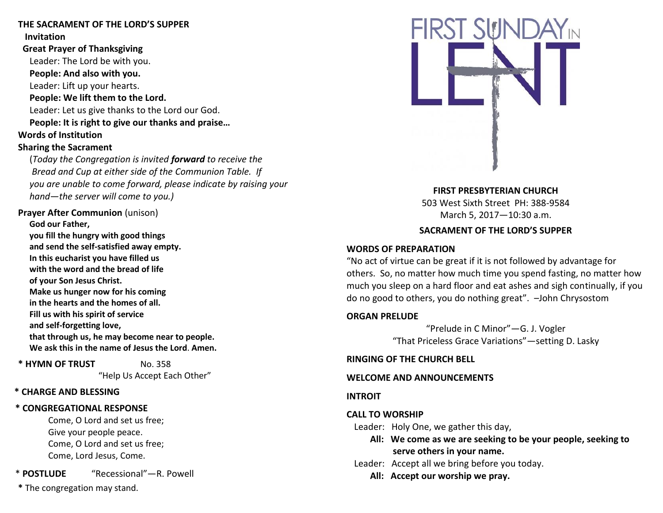### **THE SACRAMENT OF THE LORD'S SUPPER Invitation**

 **Great Prayer of Thanksgiving** Leader: The Lord be with you.  **People: And also with you.** Leader: Lift up your hearts.  **People: We lift them to the Lord.** Leader: Let us give thanks to the Lord our God.  **People: It is right to give our thanks and praise… Words of Institution Sharing the Sacrament**

 (*Today the Congregation is invited forward to receive the Bread and Cup at either side of the Communion Table. If you are unable to come forward, please indicate by raising your hand—the server will come to you.)*

**Prayer After Communion** (unison)

**God our Father, you fill the hungry with good things and send the self-satisfied away empty. In this eucharist you have filled us with the word and the bread of life of your Son Jesus Christ. Make us hunger now for his coming in the hearts and the homes of all. Fill us with his spirit of service and self-forgetting love, that through us, he may become near to people. We ask this in the name of Jesus the Lord**. **Amen.**

**\* HYMN OF TRUST** No. 358

"Help Us Accept Each Other"

## **\* CHARGE AND BLESSING**

# **\* CONGREGATIONAL RESPONSE**

Come, O Lord and set us free; Give your people peace. Come, O Lord and set us free; Come, Lord Jesus, Come.

\* **POSTLUDE** "Recessional"—R. Powell

**\*** The congregation may stand.



**FIRST PRESBYTERIAN CHURCH** 503 West Sixth Street PH: 388-9584 March 5, 2017—10:30 a.m.

## **SACRAMENT OF THE LORD'S SUPPER**

## **WORDS OF PREPARATION**

"No act of virtue can be great if it is not followed by advantage for others. So, no matter how much time you spend fasting, no matter how much you sleep on a hard floor and eat ashes and sigh continually, if you do no good to others, you do nothing great". –John Chrysostom

## **ORGAN PRELUDE**

"Prelude in C Minor"—G. J. Vogler "That Priceless Grace Variations"—setting D. Lasky

**RINGING OF THE CHURCH BELL**

# **WELCOME AND ANNOUNCEMENTS**

**INTROIT**

# **CALL TO WORSHIP**

Leader: Holy One, we gather this day,

- **All: We come as we are seeking to be your people, seeking to serve others in your name.**
- Leader: Accept all we bring before you today.
	- **All: Accept our worship we pray.**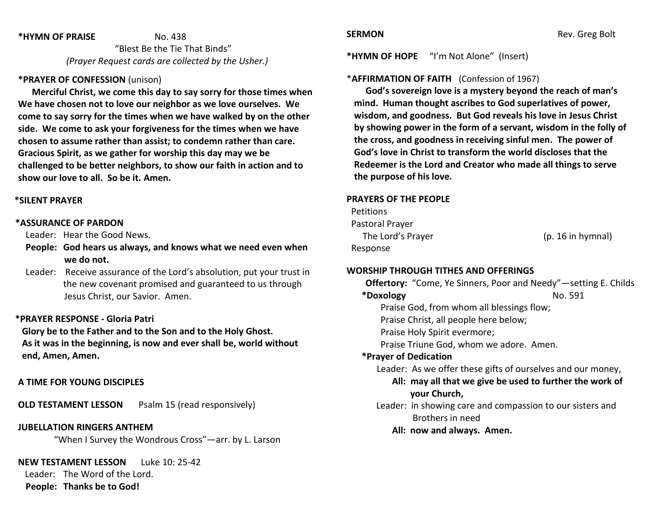#### **\*HYMN OF PRAISE** No. 438

 "Blest Be the Tie That Binds" *(Prayer Request cards are collected by the Usher.)*

### **\*PRAYER OF CONFESSION** (unison)

 **Merciful Christ, we come this day to say sorry for those times when We have chosen not to love our neighbor as we love ourselves. We come to say sorry for the times when we have walked by on the other side. We come to ask your forgiveness for the times when we have chosen to assume rather than assist; to condemn rather than care. Gracious Spirit, as we gather for worship this day may we be challenged to be better neighbors, to show our faith in action and to show our love to all. So be it. Amen.**

#### **\*SILENT PRAYER**

#### **\*ASSURANCE OF PARDON**

Leader: Hear the Good News.

- **People: God hears us always, and knows what we need even when we do not.**
- Leader: Receive assurance of the Lord's absolution, put your trust in the new covenant promised and guaranteed to us through Jesus Christ, our Savior. Amen.

## **\*PRAYER RESPONSE - Gloria Patri**

 **Glory be to the Father and to the Son and to the Holy Ghost. As it was in the beginning, is now and ever shall be, world without end, Amen, Amen.**

#### **A TIME FOR YOUNG DISCIPLES**

**OLD TESTAMENT LESSON** Psalm 15 (read responsively)

**JUBELLATION RINGERS ANTHEM** 

"When I Survey the Wondrous Cross"—arr. by L. Larson

**NEW TESTAMENT LESSON** Luke 10: 25-42

Leader: The Word of the Lord.

**People: Thanks be to God!**

**\*HYMN OF HOPE** "I'm Not Alone" (Insert)

#### \***AFFIRMATION OF FAITH** (Confession of 1967)

 **God's sovereign love is a mystery beyond the reach of man's mind. Human thought ascribes to God superlatives of power, wisdom, and goodness. But God reveals his love in Jesus Christ by showing power in the form of a servant, wisdom in the folly of the cross, and goodness in receiving sinful men. The power of God's love in Christ to transform the world discloses that the Redeemer is the Lord and Creator who made all things to serve the purpose of his love.**

#### **PRAYERS OF THE PEOPLE**

| <b>Petitions</b>  |                   |
|-------------------|-------------------|
| Pastoral Prayer   |                   |
| The Lord's Prayer | (p. 16 in hymnal) |
| Response          |                   |

#### **WORSHIP THROUGH TITHES AND OFFERINGS**

**Offertory:** "Come, Ye Sinners, Poor and Needy"—setting E. Childs **\*Doxology** No. 591 Praise God, from whom all blessings flow; Praise Christ, all people here below; Praise Holy Spirit evermore; Praise Triune God, whom we adore. Amen. **\*Prayer of Dedication** Leader: As we offer these gifts of ourselves and our money, **All: may all that we give be used to further the work of your Church,** Leader: in showing care and compassion to our sisters and Brothers in need **All: now and always. Amen.**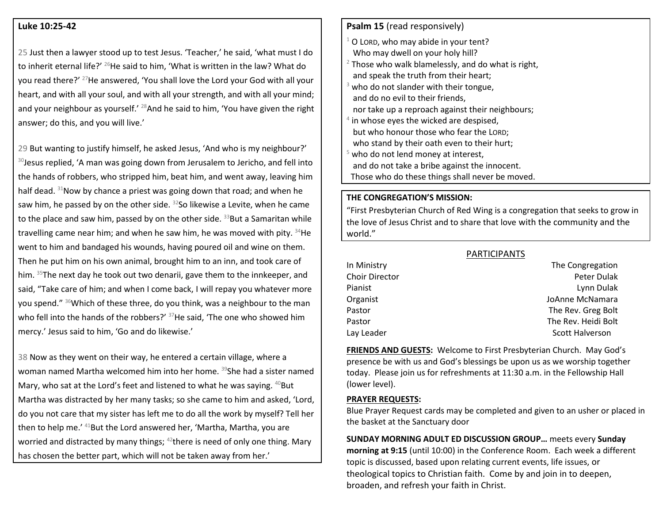#### **Luke 10:25-42**

25 Just then a lawyer stood up to test Jesus. 'Teacher,' he said, 'what must I do to inherit eternal life?' <sup>26</sup>He said to him, 'What is written in the law? What do you read there?' <sup>27</sup>He answered, 'You shall love the Lord your God with all your heart, and with all your soul, and with all your strength, and with all your mind; and your neighbour as yourself.' <sup>28</sup>And he said to him, 'You have given the right answer; do this, and you will live.'

29 But wanting to justify himself, he asked Jesus, 'And who is my neighbour?' 30 Jesus replied, 'A man was going down from Jerusalem to Jericho, and fell into the hands of robbers, who stripped him, beat him, and went away, leaving him half dead. <sup>31</sup>Now by chance a priest was going down that road; and when he saw him, he passed by on the other side.  $32$ So likewise a Levite, when he came to the place and saw him, passed by on the other side.  $33$ But a Samaritan while travelling came near him; and when he saw him, he was moved with pity.  $34$ He went to him and bandaged his wounds, having poured oil and wine on them. Then he put him on his own animal, brought him to an inn, and took care of him. <sup>35</sup>The next day he took out two denarii, gave them to the innkeeper, and said, "Take care of him; and when I come back, I will repay you whatever more you spend." <sup>36</sup>Which of these three, do you think, was a neighbour to the man who fell into the hands of the robbers?' <sup>37</sup>He said, 'The one who showed him mercy.' Jesus said to him, 'Go and do likewise.'

38 Now as they went on their way, he entered a certain village, where a woman named Martha welcomed him into her home. <sup>39</sup>She had a sister named Mary, who sat at the Lord's feet and listened to what he was saying.  $40$ But Martha was distracted by her many tasks; so she came to him and asked, 'Lord, do you not care that my sister has left me to do all the work by myself? Tell her then to help me.' <sup>41</sup>But the Lord answered her, 'Martha, Martha, you are worried and distracted by many things; <sup>42</sup>there is need of only one thing. Mary has chosen the better part, which will not be taken away from her.'

## **Psalm 15** (read responsively)

- $1$  O LORD, who may abide in your tent? Who may dwell on your holy hill?  $2$  Those who walk blamelessly, and do what is right,
- and speak the truth from their heart;
- who do not slander with their tongue, and do no evil to their friends, nor take up a reproach against their neighbours;
- 4 in whose eyes the wicked are despised, but who honour those who fear the LORD; who stand by their oath even to their hurt;
- who do not lend money at interest, and do not take a bribe against the innocent. Those who do these things shall never be moved.

#### **THE CONGREGATION'S MISSION:**

"First Presbyterian Church of Red Wing is a congregation that seeks to grow in the love of Jesus Christ and to share that love with the community and the world."

|                | <b>PARTICIPANTS</b>    |
|----------------|------------------------|
| In Ministry    | The Congregation       |
| Choir Director | Peter Dulak            |
| Pianist        | Lynn Dulak             |
| Organist       | JoAnne McNamara        |
| Pastor         | The Rev. Greg Bolt     |
| Pastor         | The Rev. Heidi Bolt    |
| Lay Leader     | <b>Scott Halverson</b> |

**FRIENDS AND GUESTS:** Welcome to First Presbyterian Church. May God's presence be with us and God's blessings be upon us as we worship together today. Please join us for refreshments at 11:30 a.m. in the Fellowship Hall (lower level).

#### **PRAYER REQUESTS:**

Blue Prayer Request cards may be completed and given to an usher or placed in the basket at the Sanctuary door

**SUNDAY MORNING ADULT ED DISCUSSION GROUP…** meets every **Sunday morning at 9:15** (until 10:00) in the Conference Room. Each week a different topic is discussed, based upon relating current events, life issues, or theological topics to Christian faith. Come by and join in to deepen, broaden, and refresh your faith in Christ.